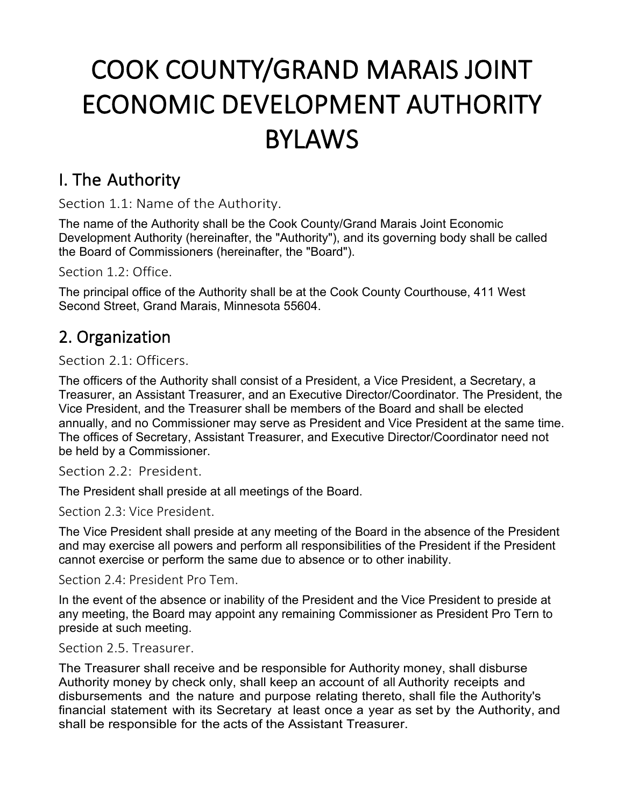# COOK COUNTY/GRAND MARAIS JOINT ECONOMIC DEVELOPMENT AUTHORITY BYLAWS

## I. The Authority

Section 1.1: Name of the Authority.

The name of the Authority shall be the Cook County/Grand Marais Joint Economic Development Authority (hereinafter, the "Authority"), and its governing body shall be called the Board of Commissioners (hereinafter, the "Board").

Section 1.2: Office.

The principal office of the Authority shall be at the Cook County Courthouse, 411 West Second Street, Grand Marais, Minnesota 55604.

## 2. Organization

Section 2.1: Officers.

The officers of the Authority shall consist of a President, a Vice President, a Secretary, a Treasurer, an Assistant Treasurer, and an Executive Director/Coordinator. The President, the Vice President, and the Treasurer shall be members of the Board and shall be elected annually, and no Commissioner may serve as President and Vice President at the same time. The offices of Secretary, Assistant Treasurer, and Executive Director/Coordinator need not be held by a Commissioner.

Section 2.2: President.

The President shall preside at all meetings of the Board.

Section 2.3: Vice President.

The Vice President shall preside at any meeting of the Board in the absence of the President and may exercise all powers and perform all responsibilities of the President if the President cannot exercise or perform the same due to absence or to other inability.

Section 2.4: President Pro Tem.

In the event of the absence or inability of the President and the Vice President to preside at any meeting, the Board may appoint any remaining Commissioner as President Pro Tern to preside at such meeting.

Section 2.5. Treasurer.

The Treasurer shall receive and be responsible for Authority money, shall disburse Authority money by check only, shall keep an account of all Authority receipts and disbursements and the nature and purpose relating thereto, shall file the Authority's financial statement with its Secretary at least once a year as set by the Authority, and shall be responsible for the acts of the Assistant Treasurer.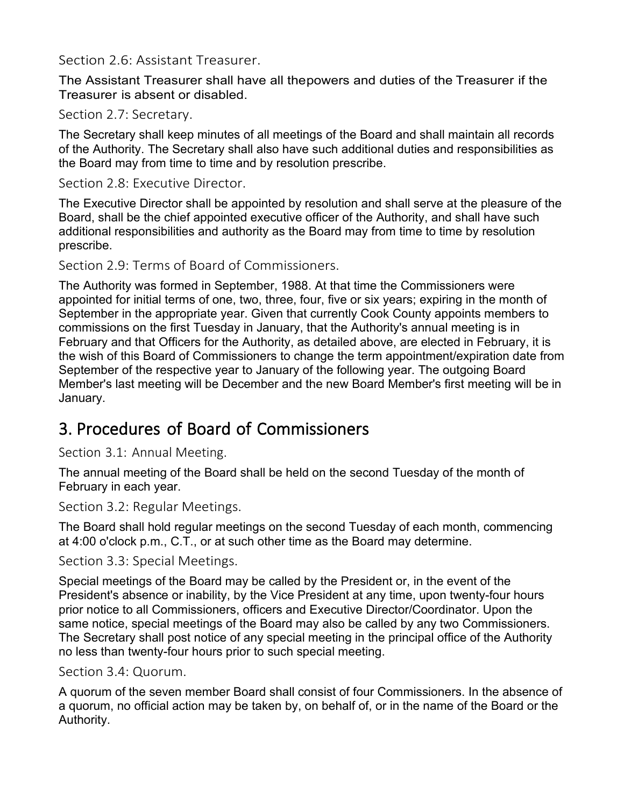### Section 2.6: Assistant Treasurer.

The Assistant Treasurer shall have all thepowers and duties of the Treasurer if the Treasurer is absent or disabled.

### Section 2.7: Secretary.

The Secretary shall keep minutes of all meetings of the Board and shall maintain all records of the Authority. The Secretary shall also have such additional duties and responsibilities as the Board may from time to time and by resolution prescribe.

#### Section 2.8: Executive Director.

The Executive Director shall be appointed by resolution and shall serve at the pleasure of the Board, shall be the chief appointed executive officer of the Authority, and shall have such additional responsibilities and authority as the Board may from time to time by resolution prescribe.

#### Section 2.9: Terms of Board of Commissioners.

The Authority was formed in September, 1988. At that time the Commissioners were appointed for initial terms of one, two, three, four, five or six years; expiring in the month of September in the appropriate year. Given that currently Cook County appoints members to commissions on the first Tuesday in January, that the Authority's annual meeting is in February and that Officers for the Authority, as detailed above, are elected in February, it is the wish of this Board of Commissioners to change the term appointment/expiration date from September of the respective year to January of the following year. The outgoing Board Member's last meeting will be December and the new Board Member's first meeting will be in January.

## 3. Procedures of Board of Commissioners

Section 3.1: Annual Meeting.

The annual meeting of the Board shall be held on the second Tuesday of the month of February in each year.

Section 3.2: Regular Meetings.

The Board shall hold regular meetings on the second Tuesday of each month, commencing at 4:00 o'clock p.m., C.T., or at such other time as the Board may determine.

Section 3.3: Special Meetings.

Special meetings of the Board may be called by the President or, in the event of the President's absence or inability, by the Vice President at any time, upon twenty-four hours prior notice to all Commissioners, officers and Executive Director/Coordinator. Upon the same notice, special meetings of the Board may also be called by any two Commissioners. The Secretary shall post notice of any special meeting in the principal office of the Authority no less than twenty-four hours prior to such special meeting.

#### Section 3.4: Quorum.

A quorum of the seven member Board shall consist of four Commissioners. In the absence of a quorum, no official action may be taken by, on behalf of, or in the name of the Board or the Authority.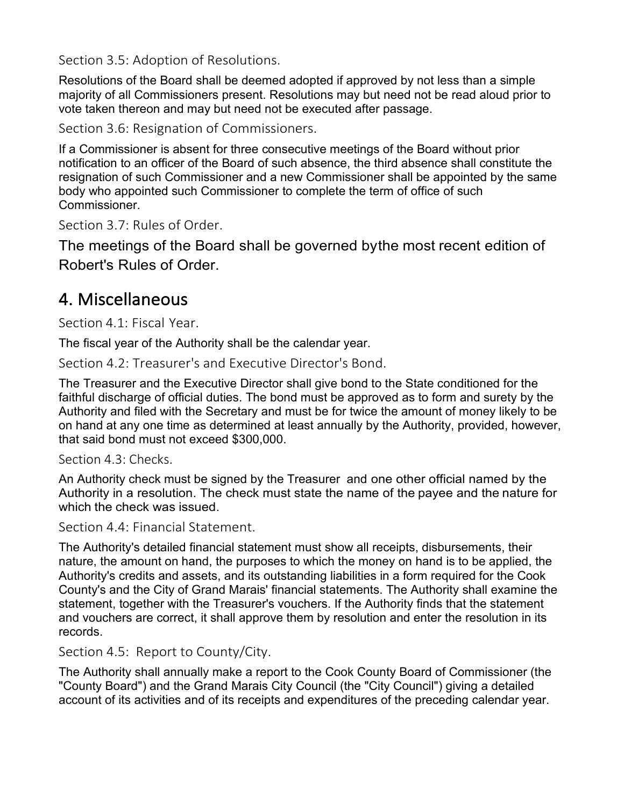Section 3.5: Adoption of Resolutions.

Resolutions of the Board shall be deemed adopted if approved by not less than a simple majority of all Commissioners present. Resolutions may but need not be read aloud prior to vote taken thereon and may but need not be executed after passage.

Section 3.6: Resignation of Commissioners.

If a Commissioner is absent for three consecutive meetings of the Board without prior notification to an officer of the Board of such absence, the third absence shall constitute the resignation of such Commissioner and a new Commissioner shall be appointed by the same body who appointed such Commissioner to complete the term of office of such Commissioner.

Section 3.7: Rules of Order.

The meetings of the Board shall be governed bythe most recent edition of Robert's Rules of Order.

## 4. Miscellaneous

Section 4.1: Fiscal Year.

The fiscal year of the Authority shall be the calendar year.

Section 4.2: Treasurer's and Executive Director's Bond.

The Treasurer and the Executive Director shall give bond to the State conditioned for the faithful discharge of official duties. The bond must be approved as to form and surety by the Authority and filed with the Secretary and must be for twice the amount of money likely to be on hand at any one time as determined at least annually by the Authority, provided, however, that said bond must not exceed \$300,000.

Section 4.3: Checks.

An Authority check must be signed by the Treasurer and one other official named by the Authority in a resolution. The check must state the name of the payee and the nature for which the check was issued.

Section 4.4: Financial Statement.

The Authority's detailed financial statement must show all receipts, disbursements, their nature, the amount on hand, the purposes to which the money on hand is to be applied, the Authority's credits and assets, and its outstanding liabilities in a form required for the Cook County's and the City of Grand Marais' financial statements. The Authority shall examine the statement, together with the Treasurer's vouchers. If the Authority finds that the statement and vouchers are correct, it shall approve them by resolution and enter the resolution in its records.

Section 4.5: Report to County/City.

The Authority shall annually make a report to the Cook County Board of Commissioner (the "County Board") and the Grand Marais City Council (the "City Council") giving a detailed account of its activities and of its receipts and expenditures of the preceding calendar year.